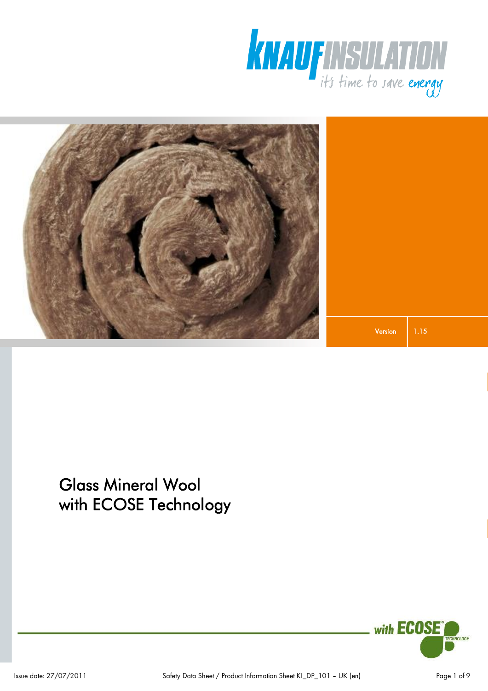



1.15 Version

# Glass Mineral Wool with ECOSE Technology

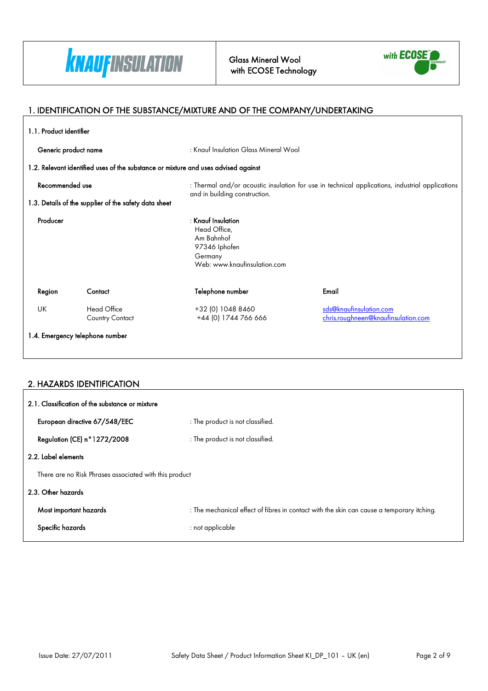

Glass Mineral Wool with ECOSE Technology



٦

### 1. IDENTIFICATION OF THE SUBSTANCE/MIXTURE AND OF THE COMPANY/UNDERTAKING

| 1.1. Product identifier |                                                                                    |                                                                                                                |                                                                                                 |
|-------------------------|------------------------------------------------------------------------------------|----------------------------------------------------------------------------------------------------------------|-------------------------------------------------------------------------------------------------|
| Generic product name    |                                                                                    | : Knauf Insulation Glass Mineral Wool                                                                          |                                                                                                 |
|                         | 1.2. Relevant identified uses of the substance or mixture and uses advised against |                                                                                                                |                                                                                                 |
| Recommended use         |                                                                                    | and in building construction.                                                                                  | : Thermal and/or acoustic insulation for use in technical applications, industrial applications |
|                         | 1.3. Details of the supplier of the safety data sheet                              |                                                                                                                |                                                                                                 |
| Producer                |                                                                                    | $:$ Knauf Insulation<br>Head Office,<br>Am Bahnhof<br>97346 Iphofen<br>Germany<br>Web: www.knaufinsulation.com |                                                                                                 |
| Region                  | Contact                                                                            | Telephone number                                                                                               | Email                                                                                           |
| UK                      | Head Office<br><b>Country Contact</b>                                              | +32 (0) 1048 8460<br>+44 (0) 1744 766 666                                                                      | sds@knaufinsulation.com<br>chris.roughneen@knaufinsulation.com                                  |
|                         | 1.4. Emergency telephone number                                                    |                                                                                                                |                                                                                                 |
|                         |                                                                                    |                                                                                                                |                                                                                                 |

### 2. HAZARDS IDENTIFICATION

| 2.1. Classification of the substance or mixture        |                                                                                           |  |
|--------------------------------------------------------|-------------------------------------------------------------------------------------------|--|
| European directive 67/548/EEC                          | : The product is not classified.                                                          |  |
| Regulation (CE) n°1272/2008                            | : The product is not classified.                                                          |  |
| 2.2. Label elements                                    |                                                                                           |  |
| There are no Risk Phrases associated with this product |                                                                                           |  |
| 2.3. Other hazards                                     |                                                                                           |  |
| Most important hazards                                 | : The mechanical effect of fibres in contact with the skin can cause a temporary itching. |  |
| Specific hazards                                       | : not applicable                                                                          |  |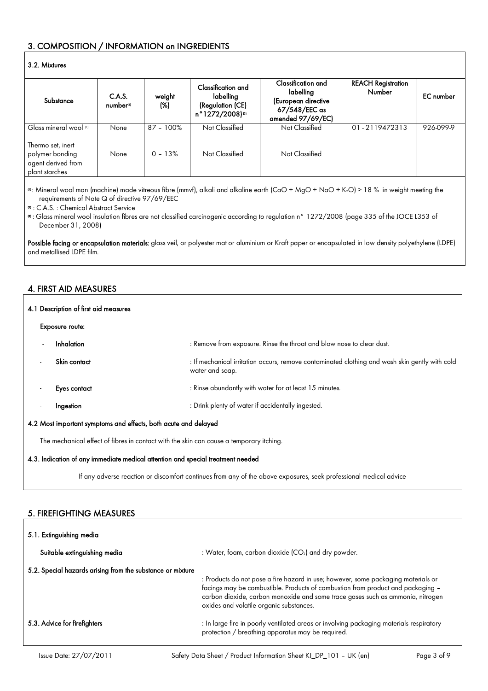### 3. COMPOSITION / INFORMATION on INGREDIENTS

#### 3.2. Mixtures

| Substance                                                                    | C.A.S.               | weight       | Classification and<br>labelling   | Classification and<br>labelling<br>(European directive | <b>REACH Registration</b><br>Number | <b>EC</b> number |
|------------------------------------------------------------------------------|----------------------|--------------|-----------------------------------|--------------------------------------------------------|-------------------------------------|------------------|
|                                                                              | number <sup>21</sup> | (%)          | (Regulation (CE)<br>n°1272/2008)® | 67/548/EEC as<br>amended 97/69/EC)                     |                                     |                  |
| Glass mineral wool [1]                                                       | None                 | $87 - 100\%$ | Not Classified                    | Not Classified                                         | 01-2119472313                       | 926-099-9        |
| Thermo set, inert<br>polymer bonding<br>agent derived from<br>plant starches | None                 | $0 - 13%$    | Not Classified                    | Not Classified                                         |                                     |                  |

(1): Mineral wool man (machine) made vitreous fibre (mmvf), alkali and alkaline earth (CaO + MgO + NaO + K2O) > 18 % in weight meeting the requirements of Note Q of directive 97/69/EEC

(2) : C.A.S. : Chemical Abstract Service

(3) : Glass mineral wool insulation fibres are not classified carcinogenic according to regulation n° 1272/2008 (page 335 of the JOCE L353 of December 31, 2008)

Possible facing or encapsulation materials: glass veil, or polyester mat or aluminium or Kraft paper or encapsulated in low density polyethylene (LDPE) and metallised LDPE film.

### 4. FIRST AID MEASURES

| 4.1 Description of first aid measures                           |                                                                                         |                                                                                                                   |
|-----------------------------------------------------------------|-----------------------------------------------------------------------------------------|-------------------------------------------------------------------------------------------------------------------|
|                                                                 | <b>Exposure route:</b>                                                                  |                                                                                                                   |
|                                                                 | Inhalation                                                                              | : Remove from exposure. Rinse the throat and blow nose to clear dust.                                             |
| $\overline{\phantom{a}}$                                        | Skin contact                                                                            | : If mechanical irritation occurs, remove contaminated clothing and wash skin gently with cold<br>water and soap. |
| $\overline{\phantom{a}}$                                        | Eyes contact                                                                            | : Rinse abundantly with water for at least 15 minutes.                                                            |
| $\overline{\phantom{a}}$                                        | Ingestion                                                                               | : Drink plenty of water if accidentally ingested.                                                                 |
| 4.2 Most important symptoms and effects, both acute and delayed |                                                                                         |                                                                                                                   |
|                                                                 | The mechanical effect of fibres in contact with the skin can cause a temporary itching. |                                                                                                                   |

#### 4.3. Indication of any immediate medical attention and special treatment needed

If any adverse reaction or discomfort continues from any of the above exposures, seek professional medical advice

#### 5. FIREFIGHTING MEASURES

| 5.1. Extinguishing media                                   |                                                                                                                                                                                                                                                                                                   |  |
|------------------------------------------------------------|---------------------------------------------------------------------------------------------------------------------------------------------------------------------------------------------------------------------------------------------------------------------------------------------------|--|
| Suitable extinguishing media                               | : Water, foam, carbon dioxide $(CO2)$ and dry powder.                                                                                                                                                                                                                                             |  |
| 5.2. Special hazards arising from the substance or mixture | : Products do not pose a fire hazard in use; however, some packaging materials or<br>facings may be combustible. Products of combustion from product and packaging -<br>carbon dioxide, carbon monoxide and some trace gases such as ammonia, nitrogen<br>oxides and volatile organic substances. |  |
| 5.3. Advice for firefighters                               | : In large fire in poorly ventilated areas or involving packaging materials respiratory<br>protection / breathing apparatus may be required.                                                                                                                                                      |  |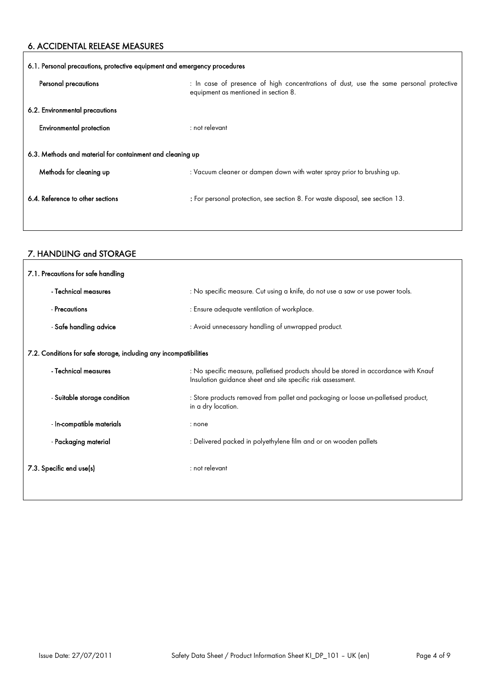### 6. ACCIDENTAL RELEASE MEASURES

 $\mathbf{r}$ 

 $\overline{1}$ 

| 6.1. Personal precautions, protective equipment and emergency procedures |                                                                                                                                |  |
|--------------------------------------------------------------------------|--------------------------------------------------------------------------------------------------------------------------------|--|
| Personal precautions                                                     | : In case of presence of high concentrations of dust, use the same personal protective<br>equipment as mentioned in section 8. |  |
| 6.2. Environmental precautions                                           |                                                                                                                                |  |
| Environmental protection                                                 | $:$ not relevant                                                                                                               |  |
| 6.3. Methods and material for containment and cleaning up                |                                                                                                                                |  |
| Methods for cleaning up                                                  | : Vacuum cleaner or dampen down with water spray prior to brushing up.                                                         |  |
| 6.4. Reference to other sections                                         | : For personal protection, see section 8. For waste disposal, see section 13.                                                  |  |

### 7. HANDLING and STORAGE

| 7.1. Precautions for safe handling                                |                                                                                                                                                      |  |
|-------------------------------------------------------------------|------------------------------------------------------------------------------------------------------------------------------------------------------|--|
| - Technical measures                                              | : No specific measure. Cut using a knife, do not use a saw or use power tools.                                                                       |  |
| - Precautions                                                     | : Ensure adequate ventilation of workplace.                                                                                                          |  |
| - Safe handling advice                                            | : Avoid unnecessary handling of unwrapped product.                                                                                                   |  |
| 7.2. Conditions for safe storage, including any incompatibilities |                                                                                                                                                      |  |
| - Technical measures                                              | : No specific measure, palletised products should be stored in accordance with Knauf<br>Insulation guidance sheet and site specific risk assessment. |  |
| - Suitable storage condition                                      | : Store products removed from pallet and packaging or loose un-palletised product,<br>in a dry location.                                             |  |
| - In-compatible materials                                         | : none                                                                                                                                               |  |
| - Packaging material                                              | : Delivered packed in polyethylene film and or on wooden pallets                                                                                     |  |
| 7.3. Specific end use(s)                                          | $:$ not relevant                                                                                                                                     |  |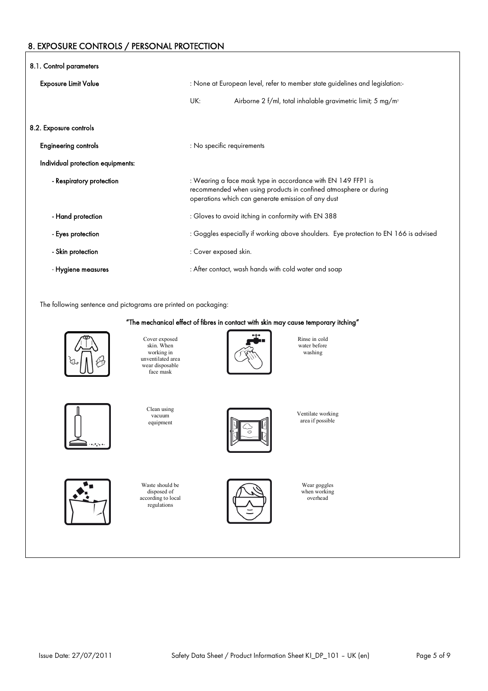### 8. EXPOSURE CONTROLS / PERSONAL PROTECTION

| 8.1. Control parameters           |                                                                                                                                                                                        |  |
|-----------------------------------|----------------------------------------------------------------------------------------------------------------------------------------------------------------------------------------|--|
| <b>Exposure Limit Value</b>       | : None at European level, refer to member state guidelines and legislation:-                                                                                                           |  |
|                                   | UK:<br>Airborne 2 f/ml, total inhalable gravimetric limit; 5 mg/m <sup>3</sup>                                                                                                         |  |
| 8.2. Exposure controls            |                                                                                                                                                                                        |  |
| <b>Engineering controls</b>       | : No specific requirements                                                                                                                                                             |  |
| Individual protection equipments: |                                                                                                                                                                                        |  |
| - Respiratory protection          | : Wearing a face mask type in accordance with EN 149 FFP1 is<br>recommended when using products in confined atmosphere or during<br>operations which can generate emission of any dust |  |
| - Hand protection                 | : Gloves to avoid itching in conformity with EN 388                                                                                                                                    |  |
| - Eyes protection                 | : Goggles especially if working above shoulders. Eye protection to EN 166 is advised                                                                                                   |  |
| - Skin protection                 | : Cover exposed skin.                                                                                                                                                                  |  |
| - Hygiene measures                | : After contact, wash hands with cold water and soap                                                                                                                                   |  |

The following sentence and pictograms are printed on packaging:

#### "The mechanical effect of fibres in contact with skin may cause temporary itching"



Cover exposed skin. When working in unventilated area wear disposable face mask



Rinse in cold water before washing



vacuum equipment

Clean using



Waste should be disposed of according to local regulations



area if possible

Ventilate working

Wear goggles when working overhead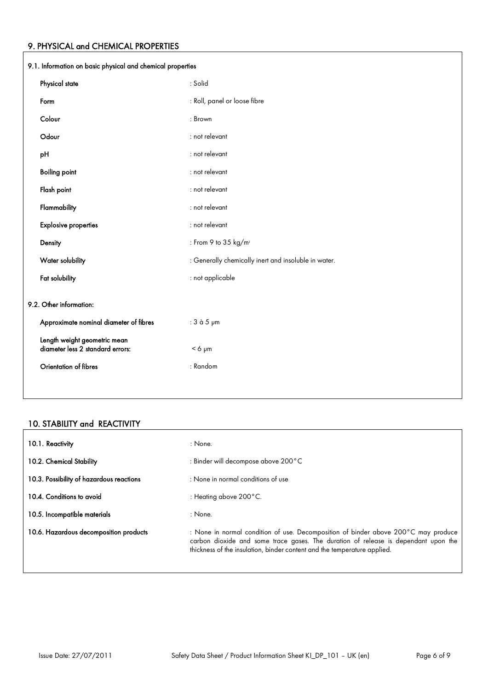### 9. PHYSICAL and CHEMICAL PROPERTIES

| 9.1. Information on basic physical and chemical properties       |                                                      |  |
|------------------------------------------------------------------|------------------------------------------------------|--|
| Physical state                                                   | : Solid                                              |  |
| Form                                                             | : Roll, panel or loose fibre                         |  |
| Colour                                                           | : Brown                                              |  |
| Odour                                                            | : not relevant                                       |  |
| pH                                                               | : not relevant                                       |  |
| <b>Boiling point</b>                                             | : not relevant                                       |  |
| Flash point                                                      | : not relevant                                       |  |
| Flammability                                                     | : not relevant                                       |  |
| <b>Explosive properties</b>                                      | : not relevant                                       |  |
| Density                                                          | : From 9 to 35 kg/m <sup>3</sup>                     |  |
| Water solubility                                                 | : Generally chemically inert and insoluble in water. |  |
| Fat solubility                                                   | : not applicable                                     |  |
| 9.2. Other information:                                          |                                                      |  |
| Approximate nominal diameter of fibres                           | : 3 à 5 µm                                           |  |
| Length weight geometric mean<br>diameter less 2 standard errors: | $< 6 \mu m$                                          |  |
| Orientation of fibres                                            | : Random                                             |  |
|                                                                  |                                                      |  |

### 10. STABILITY and REACTIVITY

| 10.1. Reactivity                         | : None.                                                                                                                                                                                                                                              |
|------------------------------------------|------------------------------------------------------------------------------------------------------------------------------------------------------------------------------------------------------------------------------------------------------|
| 10.2. Chemical Stability                 | : Binder will decompose above 200°C                                                                                                                                                                                                                  |
| 10.3. Possibility of hazardous reactions | : None in normal conditions of use                                                                                                                                                                                                                   |
| 10.4. Conditions to avoid                | : Heating above $200^{\circ}$ C.                                                                                                                                                                                                                     |
| 10.5. Incompatible materials             | : None.                                                                                                                                                                                                                                              |
| 10.6. Hazardous decomposition products   | : None in normal condition of use. Decomposition of binder above 200°C may produce<br>carbon dioxide and some trace gases. The duration of release is dependant upon the<br>thickness of the insulation, binder content and the temperature applied. |

٦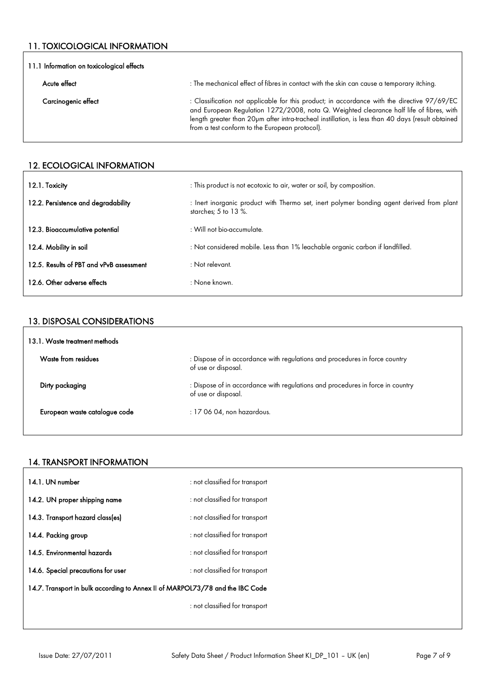### 11. TOXICOLOGICAL INFORMATION

| 11.1 Information on toxicological effects |                                                                                                                                                                                                                                                                                                                                               |  |
|-------------------------------------------|-----------------------------------------------------------------------------------------------------------------------------------------------------------------------------------------------------------------------------------------------------------------------------------------------------------------------------------------------|--|
| Acute effect                              | : The mechanical effect of fibres in contact with the skin can cause a temporary itching.                                                                                                                                                                                                                                                     |  |
| Carcinogenic effect                       | : Classification not applicable for this product; in accordance with the directive 97/69/EC<br>and European Regulation 1272/2008, nota Q. Weighted clearance half life of fibres, with<br>length greater than 20pm after intra-tracheal instillation, is less than 40 days (result obtained<br>from a test conform to the European protocol). |  |

### 12. ECOLOGICAL INFORMATION

| 12.1. Toxicity                           | : This product is not ecotoxic to air, water or soil, by composition.                                               |
|------------------------------------------|---------------------------------------------------------------------------------------------------------------------|
| 12.2. Persistence and degradability      | : Inert inorganic product with Thermo set, inert polymer bonding agent derived from plant<br>starches; $5$ to 13 %. |
| 12.3. Bioaccumulative potential          | : Will not bio-accumulate.                                                                                          |
| 12.4. Mobility in soil                   | : Not considered mobile. Less than 1% leachable organic carbon if landfilled.                                       |
| 12.5. Results of PBT and vPvB assessment | $:$ Not relevant.                                                                                                   |
| 12.6. Other adverse effects              | : None known.                                                                                                       |

#### 13. DISPOSAL CONSIDERATIONS

| 13.1. Waste treatment methods |                                                                                                       |  |
|-------------------------------|-------------------------------------------------------------------------------------------------------|--|
| Waste from residues           | : Dispose of in accordance with regulations and procedures in force country<br>of use or disposal.    |  |
| Dirty packaging               | : Dispose of in accordance with regulations and procedures in force in country<br>of use or disposal. |  |
| European waste catalogue code | $: 170604$ , non hazardous.                                                                           |  |

### 14. TRANSPORT INFORMATION

| 14.1. UN number                                                               | : not classified for transport |
|-------------------------------------------------------------------------------|--------------------------------|
| 14.2. UN proper shipping name                                                 | : not classified for transport |
| 14.3. Transport hazard class(es)                                              | : not classified for transport |
| 14.4. Packing group                                                           | : not classified for transport |
| 14.5. Environmental hazards                                                   | : not classified for transport |
| 14.6. Special precautions for user                                            | : not classified for transport |
| 14.7. Transport in bulk according to Annex II of MARPOL73/78 and the IBC Code |                                |
|                                                                               | : not classified for transport |
|                                                                               |                                |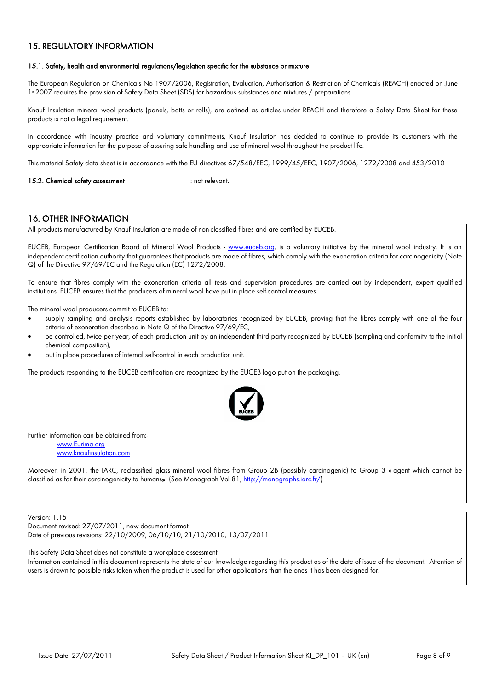### 15. REGULATORY INFORMATION

#### 15.1. Safety, health and environmental regulations/legislation specific for the substance or mixture

The European Regulation on Chemicals No 1907/2006, Registration, Evaluation, Authorisation & Restriction of Chemicals (REACH) enacted on June 1<sup>s</sup> 2007 requires the provision of Safety Data Sheet (SDS) for hazardous substances and mixtures / preparations.

Knauf Insulation mineral wool products (panels, batts or rolls), are defined as articles under REACH and therefore a Safety Data Sheet for these products is not a legal requirement.

In accordance with industry practice and voluntary commitments, Knauf Insulation has decided to continue to provide its customers with the appropriate information for the purpose of assuring safe handling and use of mineral wool throughout the product life.

This material Safety data sheet is in accordance with the EU directives 67/548/EEC, 1999/45/EEC, 1907/2006, 1272/2008 and 453/2010

15.2. Chemical safety assessment : not relevant.

#### 16. OTHER INFORMATION

All products manufactured by Knauf Insulation are made of non-classified fibres and are certified by EUCEB.

EUCEB, European Certification Board of Mineral Wool Products - [www.euceb.org,](http://www.euceb.org/) is a voluntary initiative by the mineral wool industry. It is an independent certification authority that guarantees that products are made of fibres, which comply with the exoneration criteria for carcinogenicity (Note Q) of the Directive 97/69/EC and the Regulation (EC) 1272/2008.

To ensure that fibres comply with the exoneration criteria all tests and supervision procedures are carried out by independent, expert qualified institutions. EUCEB ensures that the producers of mineral wool have put in place self-control measures.

The mineral wool producers commit to EUCEB to:

- supply sampling and analysis reports established by laboratories recognized by EUCEB, proving that the fibres comply with one of the four criteria of exoneration described in Note Q of the Directive 97/69/EC,
- be controlled, twice per year, of each production unit by an independent third party recognized by EUCEB (sampling and conformity to the initial chemical composition),
- put in place procedures of internal self-control in each production unit.

The products responding to the EUCEB certification are recognized by the EUCEB logo put on the packaging.



Further information can be obtained from:-

[www.Eurima.org](http://www.Eurima.org/) [www.knaufinsulation.com](http://www.knaufinsulation.com/)

Moreover, in 2001, the IARC, reclassified glass mineral wool fibres from Group 2B (possibly carcinogenic) to Group 3 « agent which cannot be classified as for their carcinogenicity to humans». (See Monograph Vol 81, [http://monographs.iarc.fr/\)](http://monographs.iarc.fr/))

Version: 1.15

Document revised: 27/07/2011, new document format Date of previous revisions: 22/10/2009, 06/10/10, 21/10/2010, 13/07/2011

This Safety Data Sheet does not constitute a workplace assessment

Information contained in this document represents the state of our knowledge regarding this product as of the date of issue of the document. Attention of users is drawn to possible risks taken when the product is used for other applications than the ones it has been designed for.